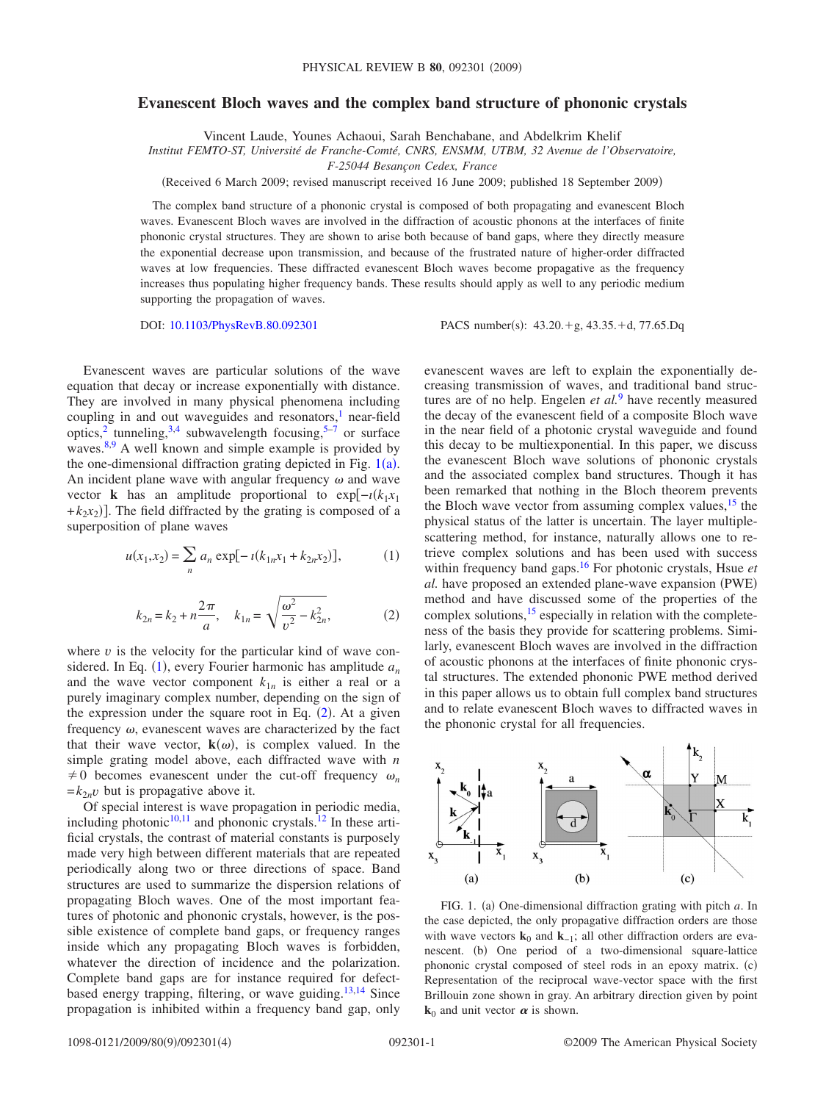## **Evanescent Bloch waves and the complex band structure of phononic crystals**

Vincent Laude, Younes Achaoui, Sarah Benchabane, and Abdelkrim Khelif

*Institut FEMTO-ST, Université de Franche-Comté, CNRS, ENSMM, UTBM, 32 Avenue de l'Observatoire,*

*F-25044 Besançon Cedex, France*

Received 6 March 2009; revised manuscript received 16 June 2009; published 18 September 2009-

The complex band structure of a phononic crystal is composed of both propagating and evanescent Bloch waves. Evanescent Bloch waves are involved in the diffraction of acoustic phonons at the interfaces of finite phononic crystal structures. They are shown to arise both because of band gaps, where they directly measure the exponential decrease upon transmission, and because of the frustrated nature of higher-order diffracted waves at low frequencies. These diffracted evanescent Bloch waves become propagative as the frequency increases thus populating higher frequency bands. These results should apply as well to any periodic medium supporting the propagation of waves.

DOI: [10.1103/PhysRevB.80.092301](http://dx.doi.org/10.1103/PhysRevB.80.092301)

PACS number(s):  $43.20.+g$ ,  $43.35.+d$ ,  $77.65.Dq$ 

Evanescent waves are particular solutions of the wave equation that decay or increase exponentially with distance. They are involved in many physical phenomena including coupling in and out waveguides and resonators, $<sup>1</sup>$  near-field</sup> optics,<sup>2</sup> tunneling,<sup>3[,4](#page-3-3)</sup> subwavelength focusing,<sup>5-7</sup> or surface waves.<sup>8[,9](#page-3-7)</sup> A well known and simple example is provided by the one-dimensional diffraction grating depicted in Fig.  $1(a)$  $1(a)$ . An incident plane wave with angular frequency  $\omega$  and wave vector **k** has an amplitude proportional to exp $[-i(k_1x_1)]$  $+k_2x_2$ ]. The field diffracted by the grating is composed of a superposition of plane waves

<span id="page-0-1"></span>
$$
u(x_1, x_2) = \sum_n a_n \exp[-\iota(k_{1n}x_1 + k_{2n}x_2)], \tag{1}
$$

$$
k_{2n} = k_2 + n \frac{2\pi}{a}, \quad k_{1n} = \sqrt{\frac{\omega^2}{v^2} - k_{2n}^2},
$$
 (2)

<span id="page-0-2"></span>where  $\nu$  is the velocity for the particular kind of wave considered. In Eq.  $(1)$  $(1)$  $(1)$ , every Fourier harmonic has amplitude  $a_n$ and the wave vector component  $k_{1n}$  is either a real or a purely imaginary complex number, depending on the sign of the expression under the square root in Eq.  $(2)$  $(2)$  $(2)$ . At a given frequency  $\omega$ , evanescent waves are characterized by the fact that their wave vector,  $\mathbf{k}(\omega)$ , is complex valued. In the simple grating model above, each diffracted wave with *n*  $\neq$  0 becomes evanescent under the cut-off frequency  $\omega_n$  $=k_{2n}v$  but is propagative above it.

Of special interest is wave propagation in periodic media, including photonic $10,11$  $10,11$  and phononic crystals.<sup>12</sup> In these artificial crystals, the contrast of material constants is purposely made very high between different materials that are repeated periodically along two or three directions of space. Band structures are used to summarize the dispersion relations of propagating Bloch waves. One of the most important features of photonic and phononic crystals, however, is the possible existence of complete band gaps, or frequency ranges inside which any propagating Bloch waves is forbidden, whatever the direction of incidence and the polarization. Complete band gaps are for instance required for defectbased energy trapping, filtering, or wave guiding. $13,14$  $13,14$  Since propagation is inhibited within a frequency band gap, only

evanescent waves are left to explain the exponentially decreasing transmission of waves, and traditional band structures are of no help. Engelen *et al.*<sup>[9](#page-3-7)</sup> have recently measured the decay of the evanescent field of a composite Bloch wave in the near field of a photonic crystal waveguide and found this decay to be multiexponential. In this paper, we discuss the evanescent Bloch wave solutions of phononic crystals and the associated complex band structures. Though it has been remarked that nothing in the Bloch theorem prevents the Bloch wave vector from assuming complex values, $15$  the physical status of the latter is uncertain. The layer multiplescattering method, for instance, naturally allows one to retrieve complex solutions and has been used with success within frequency band gaps[.16](#page-3-14) For photonic crystals, Hsue *et* al. have proposed an extended plane-wave expansion (PWE) method and have discussed some of the properties of the complex solutions, $15$  especially in relation with the completeness of the basis they provide for scattering problems. Similarly, evanescent Bloch waves are involved in the diffraction of acoustic phonons at the interfaces of finite phononic crystal structures. The extended phononic PWE method derived in this paper allows us to obtain full complex band structures and to relate evanescent Bloch waves to diffracted waves in the phononic crystal for all frequencies.

<span id="page-0-0"></span>

FIG. 1. (a) One-dimensional diffraction grating with pitch *a*. In the case depicted, the only propagative diffraction orders are those with wave vectors  $\mathbf{k}_0$  and  $\mathbf{k}_{-1}$ ; all other diffraction orders are evanescent. (b) One period of a two-dimensional square-lattice phononic crystal composed of steel rods in an epoxy matrix. (c) Representation of the reciprocal wave-vector space with the first Brillouin zone shown in gray. An arbitrary direction given by point  $k_0$  and unit vector  $\alpha$  is shown.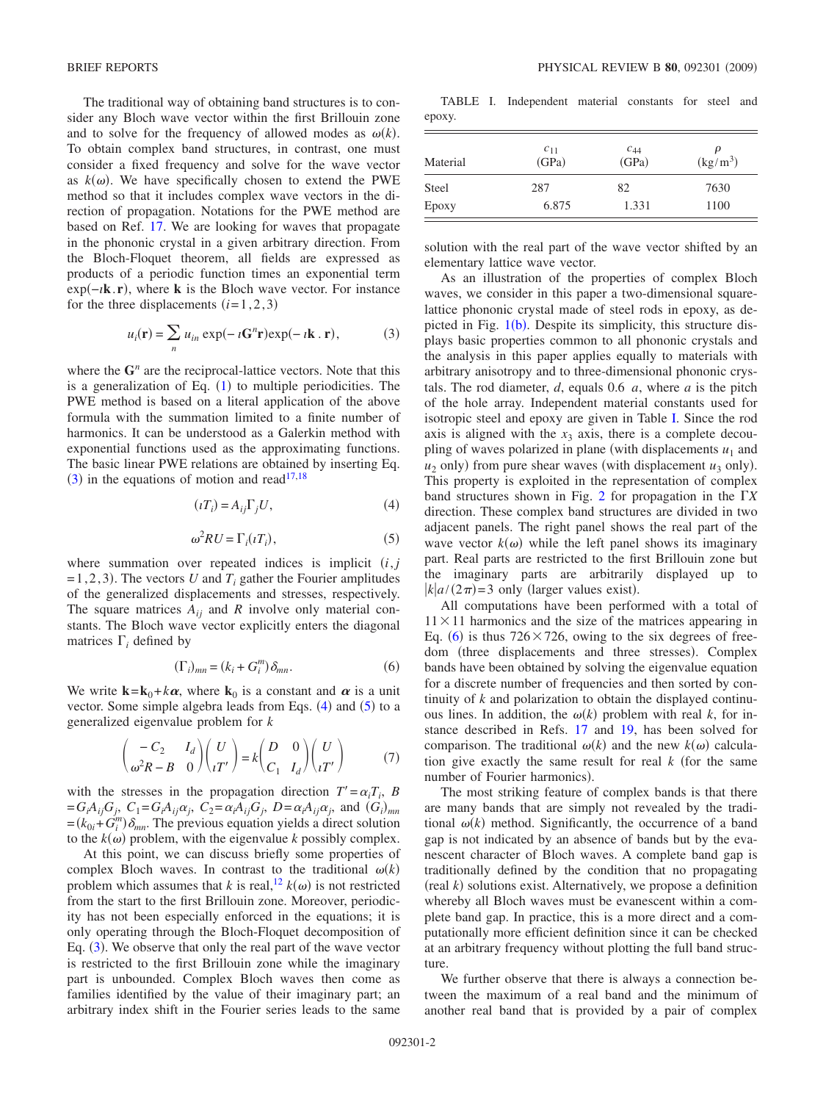The traditional way of obtaining band structures is to consider any Bloch wave vector within the first Brillouin zone and to solve for the frequency of allowed modes as  $\omega(k)$ . To obtain complex band structures, in contrast, one must consider a fixed frequency and solve for the wave vector as  $k(\omega)$ . We have specifically chosen to extend the PWE method so that it includes complex wave vectors in the direction of propagation. Notations for the PWE method are based on Ref. [17.](#page-3-15) We are looking for waves that propagate in the phononic crystal in a given arbitrary direction. From the Bloch-Floquet theorem, all fields are expressed as products of a periodic function times an exponential term exp−*ı***k**.**r**-, where **k** is the Bloch wave vector. For instance for the three displacements  $(i=1,2,3)$ 

$$
u_i(\mathbf{r}) = \sum_n u_{in} \exp(-i\mathbf{G}^n \mathbf{r}) \exp(-i\mathbf{k} \cdot \mathbf{r}), \qquad (3)
$$

<span id="page-1-0"></span>where the  $G<sup>n</sup>$  are the reciprocal-lattice vectors. Note that this is a generalization of Eq.  $(1)$  $(1)$  $(1)$  to multiple periodicities. The PWE method is based on a literal application of the above formula with the summation limited to a finite number of harmonics. It can be understood as a Galerkin method with exponential functions used as the approximating functions. The basic linear PWE relations are obtained by inserting Eq.  $(3)$  $(3)$  $(3)$  in the equations of motion and read<sup>17[,18](#page-3-16)</sup>

$$
(\iota T_i) = A_{ij} \Gamma_j U,\tag{4}
$$

$$
\omega^2 R U = \Gamma_i(\iota T_i),\tag{5}
$$

<span id="page-1-2"></span><span id="page-1-1"></span>where summation over repeated indices is implicit  $(i, j)$  $=1,2,3$ ). The vectors *U* and  $T_i$  gather the Fourier amplitudes of the generalized displacements and stresses, respectively. The square matrices  $A_{ij}$  and  $R$  involve only material constants. The Bloch wave vector explicitly enters the diagonal matrices  $\Gamma_i$  defined by

$$
(\Gamma_i)_{mn} = (k_i + G_i^m) \delta_{mn}.
$$
 (6)

<span id="page-1-4"></span>We write  $\mathbf{k} = \mathbf{k}_0 + k\alpha$ , where  $\mathbf{k}_0$  is a constant and  $\alpha$  is a unit vector. Some simple algebra leads from Eqs.  $(4)$  $(4)$  $(4)$  and  $(5)$  $(5)$  $(5)$  to a generalized eigenvalue problem for *k*

$$
\begin{pmatrix} -C_2 & I_d \\ \omega^2 R - B & 0 \end{pmatrix} \begin{pmatrix} U \\ iT' \end{pmatrix} = k \begin{pmatrix} D & 0 \\ C_1 & I_d \end{pmatrix} \begin{pmatrix} U \\ iT' \end{pmatrix}
$$
(7)

with the stresses in the propagation direction  $T' = \alpha_i T_i$ , *B*  $= G_i A_{ij} G_j$ ,  $C_1 = G_i A_{ij} \alpha_j$ ,  $C_2 = \alpha_i A_{ij} G_j$ ,  $D = \alpha_i A_{ij} \alpha_j$ , and  $(G_i)_{mn}$  $=(k_{0i} + G_i^m) \delta_{mn}$ . The previous equation yields a direct solution to the  $k(\omega)$  problem, with the eigenvalue *k* possibly complex.

At this point, we can discuss briefly some properties of complex Bloch waves. In contrast to the traditional  $\omega(k)$ problem which assumes that *k* is real,  $\frac{12}{k}k(\omega)$  is not restricted from the start to the first Brillouin zone. Moreover, periodicity has not been especially enforced in the equations; it is only operating through the Bloch-Floquet decomposition of Eq. ([3](#page-1-0)). We observe that only the real part of the wave vector is restricted to the first Brillouin zone while the imaginary part is unbounded. Complex Bloch waves then come as families identified by the value of their imaginary part; an arbitrary index shift in the Fourier series leads to the same

<span id="page-1-3"></span>TABLE I. Independent material constants for steel and epoxy.

| Material | $c_{11}$<br>(GPa) | $\frac{c_{44}}{(GPa)}$ | $\mu$<br>$\left(\frac{\text{kg}}{\text{m}^3}\right)$ |
|----------|-------------------|------------------------|------------------------------------------------------|
| Steel    | 287               | 82                     | 7630                                                 |
| Epoxy    | 6.875             | 1.331                  | 1100                                                 |

solution with the real part of the wave vector shifted by an elementary lattice wave vector.

As an illustration of the properties of complex Bloch waves, we consider in this paper a two-dimensional squarelattice phononic crystal made of steel rods in epoxy, as depicted in Fig.  $1(b)$  $1(b)$ . Despite its simplicity, this structure displays basic properties common to all phononic crystals and the analysis in this paper applies equally to materials with arbitrary anisotropy and to three-dimensional phononic crystals. The rod diameter, *d*, equals 0.6 *a*, where *a* is the pitch of the hole array. Independent material constants used for isotropic steel and epoxy are given in Table [I.](#page-1-3) Since the rod axis is aligned with the  $x_3$  axis, there is a complete decoupling of waves polarized in plane (with displacements  $u_1$  and  $u_2$  only) from pure shear waves (with displacement  $u_3$  only). This property is exploited in the representation of complex band structures shown in Fig. [2](#page-2-0) for propagation in the *X* direction. These complex band structures are divided in two adjacent panels. The right panel shows the real part of the wave vector  $k(\omega)$  while the left panel shows its imaginary part. Real parts are restricted to the first Brillouin zone but the imaginary parts are arbitrarily displayed up to  $\frac{k}{a}(2\pi) = 3$  only (larger values exist).

All computations have been performed with a total of  $11 \times 11$  harmonics and the size of the matrices appearing in Eq. ([6](#page-1-4)) is thus  $726 \times 726$ , owing to the six degrees of freedom (three displacements and three stresses). Complex bands have been obtained by solving the eigenvalue equation for a discrete number of frequencies and then sorted by continuity of *k* and polarization to obtain the displayed continuous lines. In addition, the  $\omega(k)$  problem with real *k*, for instance described in Refs. [17](#page-3-15) and [19,](#page-3-17) has been solved for comparison. The traditional  $\omega(k)$  and the new  $k(\omega)$  calculation give exactly the same result for real  $k$  (for the same number of Fourier harmonics).

The most striking feature of complex bands is that there are many bands that are simply not revealed by the traditional  $\omega(k)$  method. Significantly, the occurrence of a band gap is not indicated by an absence of bands but by the evanescent character of Bloch waves. A complete band gap is traditionally defined by the condition that no propagating  $(\text{real } k)$  solutions exist. Alternatively, we propose a definition whereby all Bloch waves must be evanescent within a complete band gap. In practice, this is a more direct and a computationally more efficient definition since it can be checked at an arbitrary frequency without plotting the full band structure.

We further observe that there is always a connection between the maximum of a real band and the minimum of another real band that is provided by a pair of complex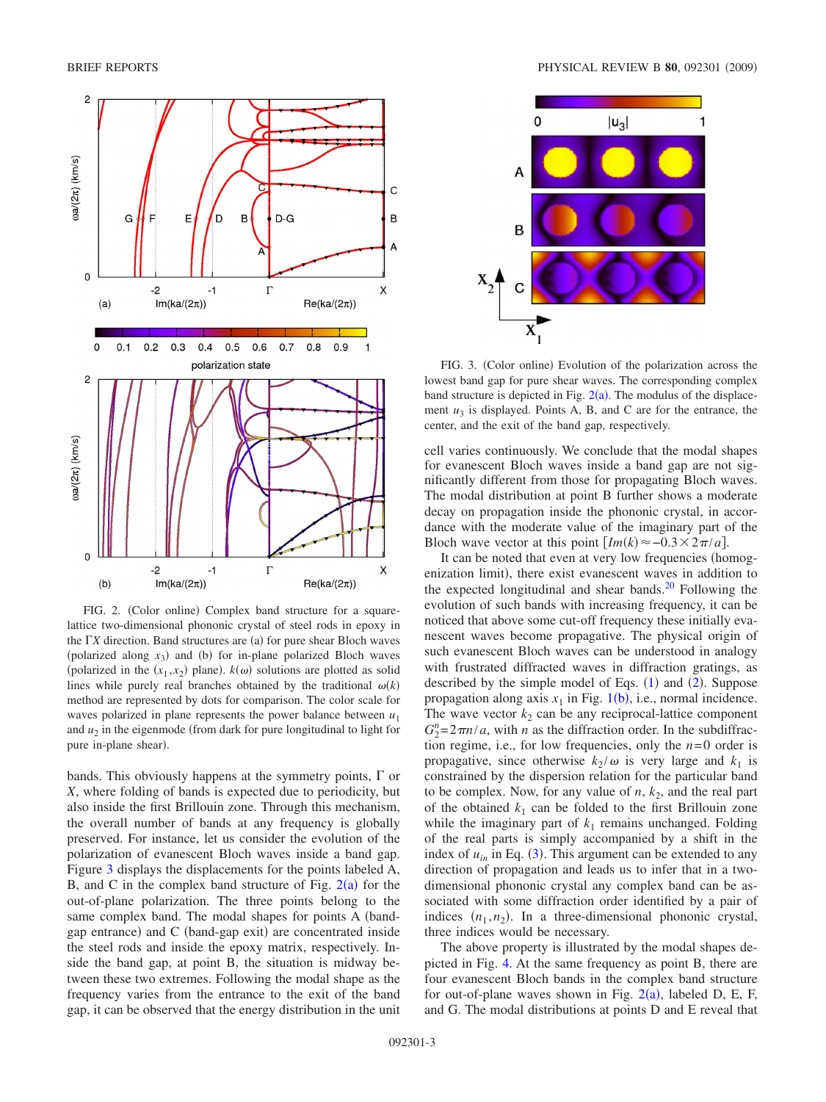<span id="page-2-0"></span>

FIG. 2. (Color online) Complex band structure for a squarelattice two-dimensional phononic crystal of steel rods in epoxy in the  $\Gamma X$  direction. Band structures are (a) for pure shear Bloch waves (polarized along  $x_3$ ) and (b) for in-plane polarized Bloch waves (polarized in the  $(x_1, x_2)$  plane).  $k(\omega)$  solutions are plotted as solid lines while purely real branches obtained by the traditional  $\omega(k)$ method are represented by dots for comparison. The color scale for waves polarized in plane represents the power balance between  $u_1$ and  $u_2$  in the eigenmode (from dark for pure longitudinal to light for pure in-plane shear).

bands. This obviously happens at the symmetry points,  $\Gamma$  or *X*, where folding of bands is expected due to periodicity, but also inside the first Brillouin zone. Through this mechanism, the overall number of bands at any frequency is globally preserved. For instance, let us consider the evolution of the polarization of evanescent Bloch waves inside a band gap. Figure [3](#page-2-1) displays the displacements for the points labeled A, B, and C in the complex band structure of Fig.  $2(a)$  $2(a)$  for the out-of-plane polarization. The three points belong to the same complex band. The modal shapes for points A (bandgap entrance) and C (band-gap exit) are concentrated inside the steel rods and inside the epoxy matrix, respectively. Inside the band gap, at point B, the situation is midway between these two extremes. Following the modal shape as the frequency varies from the entrance to the exit of the band gap, it can be observed that the energy distribution in the unit

<span id="page-2-1"></span>

FIG. 3. (Color online) Evolution of the polarization across the lowest band gap for pure shear waves. The corresponding complex band structure is depicted in Fig.  $2(a)$  $2(a)$ . The modulus of the displacement  $u_3$  is displayed. Points A, B, and C are for the entrance, the center, and the exit of the band gap, respectively.

cell varies continuously. We conclude that the modal shapes for evanescent Bloch waves inside a band gap are not significantly different from those for propagating Bloch waves. The modal distribution at point B further shows a moderate decay on propagation inside the phononic crystal, in accordance with the moderate value of the imaginary part of the Bloch wave vector at this point  $[Im(k) \approx -0.3 \times 2\pi/a]$ .

It can be noted that even at very low frequencies (homogenization limit), there exist evanescent waves in addition to the expected longitudinal and shear bands. $20$  Following the evolution of such bands with increasing frequency, it can be noticed that above some cut-off frequency these initially evanescent waves become propagative. The physical origin of such evanescent Bloch waves can be understood in analogy with frustrated diffracted waves in diffraction gratings, as described by the simple model of Eqs.  $(1)$  $(1)$  $(1)$  and  $(2)$  $(2)$  $(2)$ . Suppose propagation along axis  $x_1$  $x_1$  in Fig. 1(b), i.e., normal incidence. The wave vector  $k_2$  can be any reciprocal-lattice component  $G_2^n = 2\pi n/a$ , with *n* as the diffraction order. In the subdiffraction regime, i.e., for low frequencies, only the  $n=0$  order is propagative, since otherwise  $k_2/\omega$  is very large and  $k_1$  is constrained by the dispersion relation for the particular band to be complex. Now, for any value of  $n$ ,  $k_2$ , and the real part of the obtained  $k_1$  can be folded to the first Brillouin zone while the imaginary part of  $k_1$  remains unchanged. Folding of the real parts is simply accompanied by a shift in the index of  $u_{in}$  in Eq. ([3](#page-1-0)). This argument can be extended to any direction of propagation and leads us to infer that in a twodimensional phononic crystal any complex band can be associated with some diffraction order identified by a pair of indices  $(n_1, n_2)$ . In a three-dimensional phononic crystal, three indices would be necessary.

The above property is illustrated by the modal shapes depicted in Fig. [4.](#page-3-19) At the same frequency as point B, there are four evanescent Bloch bands in the complex band structure for out-of-plane waves shown in Fig.  $2(a)$  $2(a)$ , labeled D, E, F, and G. The modal distributions at points D and E reveal that